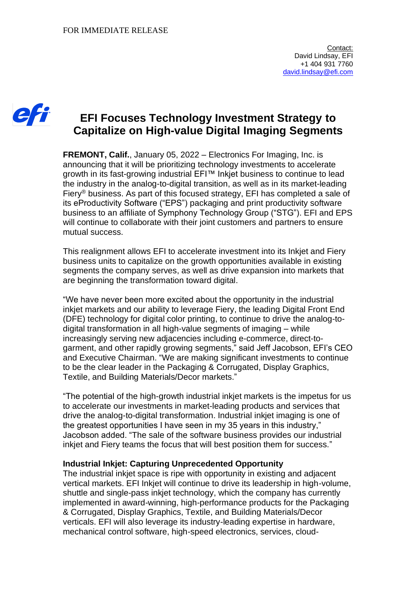

# **EFI Focuses Technology Investment Strategy to Capitalize on High-value Digital Imaging Segments**

**FREMONT, Calif.**, January 05, 2022 – Electronics For Imaging, Inc. is announcing that it will be prioritizing technology investments to accelerate growth in its fast-growing industrial EFI™ Inkjet business to continue to lead the industry in the analog-to-digital transition, as well as in its market-leading Fiery® business. As part of this focused strategy, EFI has completed a sale of its eProductivity Software ("EPS") packaging and print productivity software business to an affiliate of Symphony Technology Group ("STG"). EFI and EPS will continue to collaborate with their joint customers and partners to ensure mutual success.

This realignment allows EFI to accelerate investment into its Inkjet and Fiery business units to capitalize on the growth opportunities available in existing segments the company serves, as well as drive expansion into markets that are beginning the transformation toward digital.

"We have never been more excited about the opportunity in the industrial inkjet markets and our ability to leverage Fiery, the leading Digital Front End (DFE) technology for digital color printing, to continue to drive the analog-todigital transformation in all high-value segments of imaging – while increasingly serving new adjacencies including e-commerce, direct-togarment, and other rapidly growing segments," said Jeff Jacobson, EFI's CEO and Executive Chairman. "We are making significant investments to continue to be the clear leader in the Packaging & Corrugated, Display Graphics, Textile, and Building Materials/Decor markets."

"The potential of the high-growth industrial inkjet markets is the impetus for us to accelerate our investments in market-leading products and services that drive the analog-to-digital transformation. Industrial inkjet imaging is one of the greatest opportunities I have seen in my 35 years in this industry," Jacobson added. "The sale of the software business provides our industrial inkjet and Fiery teams the focus that will best position them for success."

## **Industrial Inkjet: Capturing Unprecedented Opportunity**

The industrial inkjet space is ripe with opportunity in existing and adjacent vertical markets. EFI Inkjet will continue to drive its leadership in high-volume, shuttle and single-pass inkjet technology, which the company has currently implemented in award-winning, high-performance products for the Packaging & Corrugated, Display Graphics, Textile, and Building Materials/Decor verticals. EFI will also leverage its industry-leading expertise in hardware, mechanical control software, high-speed electronics, services, cloud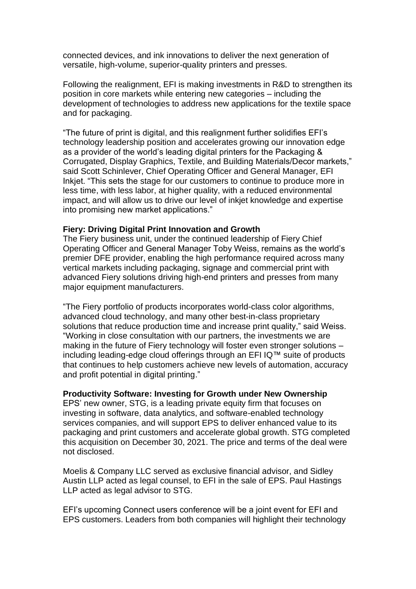connected devices, and ink innovations to deliver the next generation of versatile, high-volume, superior-quality printers and presses.

Following the realignment, EFI is making investments in R&D to strengthen its position in core markets while entering new categories – including the development of technologies to address new applications for the textile space and for packaging.

"The future of print is digital, and this realignment further solidifies EFI's technology leadership position and accelerates growing our innovation edge as a provider of the world's leading digital printers for the Packaging & Corrugated, Display Graphics, Textile, and Building Materials/Decor markets," said Scott Schinlever, Chief Operating Officer and General Manager, EFI Inkjet. "This sets the stage for our customers to continue to produce more in less time, with less labor, at higher quality, with a reduced environmental impact, and will allow us to drive our level of inkjet knowledge and expertise into promising new market applications."

## **Fiery: Driving Digital Print Innovation and Growth**

The Fiery business unit, under the continued leadership of Fiery Chief Operating Officer and General Manager Toby Weiss, remains as the world's premier DFE provider, enabling the high performance required across many vertical markets including packaging, signage and commercial print with advanced Fiery solutions driving high-end printers and presses from many major equipment manufacturers.

"The Fiery portfolio of products incorporates world-class color algorithms, advanced cloud technology, and many other best-in-class proprietary solutions that reduce production time and increase print quality," said Weiss. "Working in close consultation with our partners, the investments we are making in the future of Fiery technology will foster even stronger solutions – including leading-edge cloud offerings through an EFI IQ™ suite of products that continues to help customers achieve new levels of automation, accuracy and profit potential in digital printing."

## **Productivity Software: Investing for Growth under New Ownership**

EPS' new owner, STG, is a leading private equity firm that focuses on investing in software, data analytics, and software-enabled technology services companies, and will support EPS to deliver enhanced value to its packaging and print customers and accelerate global growth. STG completed this acquisition on December 30, 2021. The price and terms of the deal were not disclosed.

Moelis & Company LLC served as exclusive financial advisor, and Sidley Austin LLP acted as legal counsel, to EFI in the sale of EPS. Paul Hastings LLP acted as legal advisor to STG.

EFI's upcoming Connect users conference will be a joint event for EFI and EPS customers. Leaders from both companies will highlight their technology